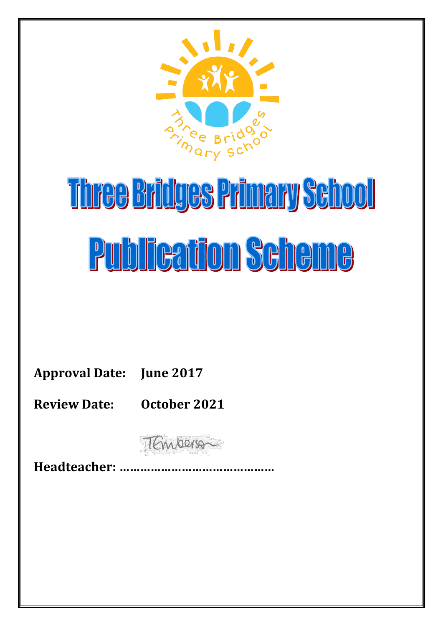

# Three Bridges Primary School **Publication Scheme**

**Approval Date: June 2017**

**Review Date: October 2021**

TEmperson

**Headteacher: ………………………………………**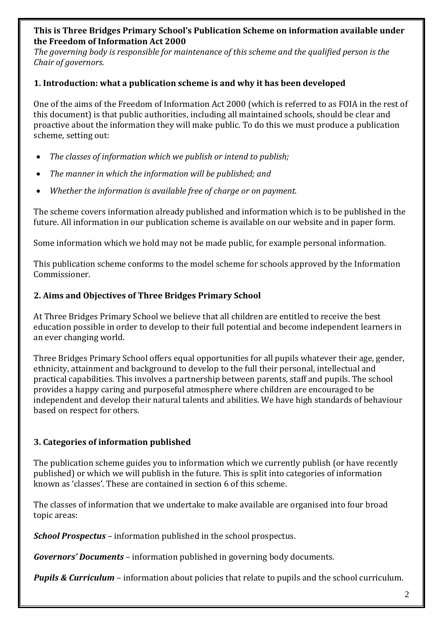#### **This is Three Bridges Primary School's Publication Scheme on information available under the Freedom of Information Act 2000**

*The governing body is responsible for maintenance of this scheme and the qualified person is the Chair of governors.* 

#### **1. Introduction: what a publication scheme is and why it has been developed**

One of the aims of the Freedom of Information Act 2000 (which is referred to as FOIA in the rest of this document) is that public authorities, including all maintained schools, should be clear and proactive about the information they will make public. To do this we must produce a publication scheme, setting out:

- *The classes of information which we publish or intend to publish;*
- *The manner in which the information will be published; and*
- *Whether the information is available free of charge or on payment.*

The scheme covers information already published and information which is to be published in the future. All information in our publication scheme is available on our website and in paper form.

Some information which we hold may not be made public, for example personal information.

This publication scheme conforms to the model scheme for schools approved by the Information Commissioner.

### **2. Aims and Objectives of Three Bridges Primary School**

At Three Bridges Primary School we believe that all children are entitled to receive the best education possible in order to develop to their full potential and become independent learners in an ever changing world.

Three Bridges Primary School offers equal opportunities for all pupils whatever their age, gender, ethnicity, attainment and background to develop to the full their personal, intellectual and practical capabilities. This involves a partnership between parents, staff and pupils. The school provides a happy caring and purposeful atmosphere where children are encouraged to be independent and develop their natural talents and abilities. We have high standards of behaviour based on respect for others.

### **3. Categories of information published**

The publication scheme guides you to information which we currently publish (or have recently published) or which we will publish in the future. This is split into categories of information known as 'classes'. These are contained in section 6 of this scheme.

The classes of information that we undertake to make available are organised into four broad topic areas:

*School Prospectus* – information published in the school prospectus.

*Governors' Documents* – information published in governing body documents.

*Pupils & Curriculum* – information about policies that relate to pupils and the school curriculum.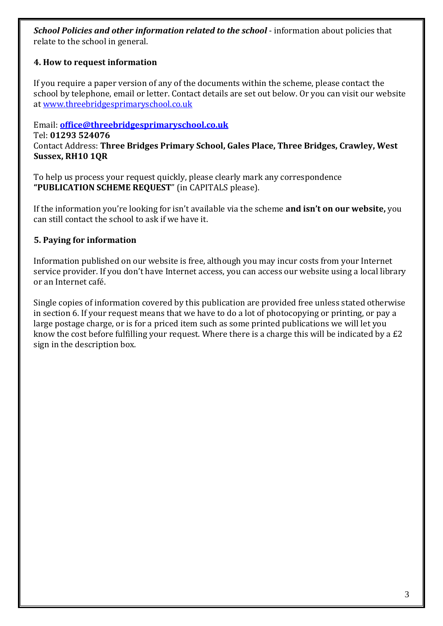*School Policies and other information related to the school* - information about policies that relate to the school in general.

## **4. How to request information**

If you require a paper version of any of the documents within the scheme, please contact the school by telephone, email or letter. Contact details are set out below. Or you can visit our website at [www.threebridgesprimaryschool.co.uk](http://www.threebridgesprimaryschool.co.uk/)

### Email: **[office@threebridgesprimaryschool.co.uk](mailto:office@threebridgesprimaryschool.co.uk)**

Tel: **01293 524076** Contact Address: **Three Bridges Primary School, Gales Place, Three Bridges, Crawley, West Sussex, RH10 1QR**

To help us process your request quickly, please clearly mark any correspondence **"PUBLICATION SCHEME REQUEST**" (in CAPITALS please).

If the information you're looking for isn't available via the scheme **and isn't on our website,** you can still contact the school to ask if we have it.

### **5. Paying for information**

Information published on our website is free, although you may incur costs from your Internet service provider. If you don't have Internet access, you can access our website using a local library or an Internet café.

Single copies of information covered by this publication are provided free unless stated otherwise in section 6. If your request means that we have to do a lot of photocopying or printing, or pay a large postage charge, or is for a priced item such as some printed publications we will let you know the cost before fulfilling your request. Where there is a charge this will be indicated by a £2 sign in the description box.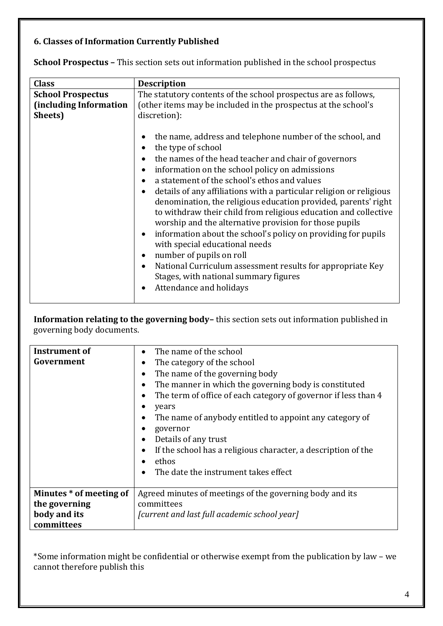# **6. Classes of Information Currently Published**

| <b>Class</b>             | <b>Description</b>                                                                                                                                                                                                                                                                                                                                                                                                                                                                                                                                                                                                                                                                                                                                                                            |
|--------------------------|-----------------------------------------------------------------------------------------------------------------------------------------------------------------------------------------------------------------------------------------------------------------------------------------------------------------------------------------------------------------------------------------------------------------------------------------------------------------------------------------------------------------------------------------------------------------------------------------------------------------------------------------------------------------------------------------------------------------------------------------------------------------------------------------------|
| <b>School Prospectus</b> | The statutory contents of the school prospectus are as follows,                                                                                                                                                                                                                                                                                                                                                                                                                                                                                                                                                                                                                                                                                                                               |
| (including Information   | (other items may be included in the prospectus at the school's                                                                                                                                                                                                                                                                                                                                                                                                                                                                                                                                                                                                                                                                                                                                |
| Sheets)                  | discretion):                                                                                                                                                                                                                                                                                                                                                                                                                                                                                                                                                                                                                                                                                                                                                                                  |
|                          | the name, address and telephone number of the school, and<br>the type of school<br>the names of the head teacher and chair of governors<br>information on the school policy on admissions<br>a statement of the school's ethos and values<br>details of any affiliations with a particular religion or religious<br>$\bullet$<br>denomination, the religious education provided, parents' right<br>to withdraw their child from religious education and collective<br>worship and the alternative provision for those pupils<br>information about the school's policy on providing for pupils<br>with special educational needs<br>number of pupils on roll<br>National Curriculum assessment results for appropriate Key<br>Stages, with national summary figures<br>Attendance and holidays |

**School Prospectus –** This section sets out information published in the school prospectus

**Information relating to the governing body–** this section sets out information published in governing body documents.

| Instrument of<br>Government | The name of the school<br>The category of the school<br>The name of the governing body<br>The manner in which the governing body is constituted<br>The term of office of each category of governor if less than 4<br>years<br>The name of anybody entitled to appoint any category of<br>governor<br>Details of any trust<br>If the school has a religious character, a description of the<br>ethos<br>The date the instrument takes effect |
|-----------------------------|---------------------------------------------------------------------------------------------------------------------------------------------------------------------------------------------------------------------------------------------------------------------------------------------------------------------------------------------------------------------------------------------------------------------------------------------|
| Minutes * of meeting of     | Agreed minutes of meetings of the governing body and its                                                                                                                                                                                                                                                                                                                                                                                    |
| the governing               | committees                                                                                                                                                                                                                                                                                                                                                                                                                                  |
| body and its                | [current and last full academic school year]                                                                                                                                                                                                                                                                                                                                                                                                |
| committees                  |                                                                                                                                                                                                                                                                                                                                                                                                                                             |

\*Some information might be confidential or otherwise exempt from the publication by law – we cannot therefore publish this